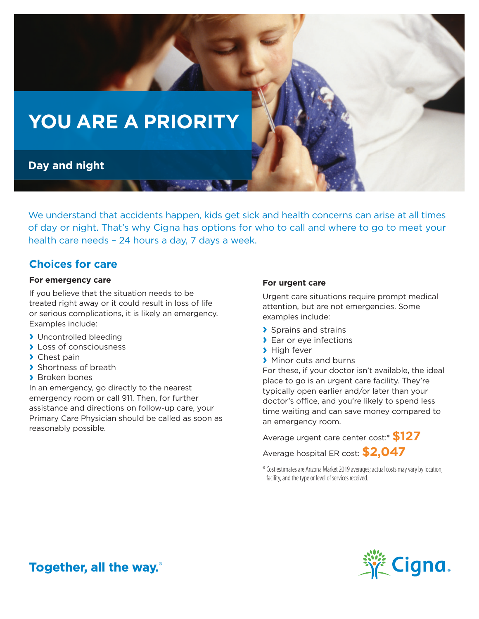

We understand that accidents happen, kids get sick and health concerns can arise at all times of day or night. That's why Cigna has options for who to call and where to go to meet your health care needs – 24 hours a day, 7 days a week.

### **Choices for care**

#### **For emergency care**

If you believe that the situation needs to be treated right away or it could result in loss of life or serious complications, it is likely an emergency. Examples include:

- **›** Uncontrolled bleeding
- **›** Loss of consciousness
- **›** Chest pain
- **›** Shortness of breath
- **›** Broken bones

In an emergency, go directly to the nearest emergency room or call 911. Then, for further assistance and directions on follow-up care, your Primary Care Physician should be called as soon as reasonably possible.

#### **For urgent care**

Urgent care situations require prompt medical attention, but are not emergencies. Some examples include:

- **›** Sprains and strains
- **›** Ear or eye infections
- **›** High fever
- **›** Minor cuts and burns

For these, if your doctor isn't available, the ideal place to go is an urgent care facility. They're typically open earlier and/or later than your doctor's office, and you're likely to spend less time waiting and can save money compared to an emergency room.

Average urgent care center cost:\* **\$127**

Average hospital ER cost: **\$2,047**

\* Cost estimates are Arizona Market 2019 averages; actual costs may vary by location, facility, and the type or level of services received.



Together, all the way.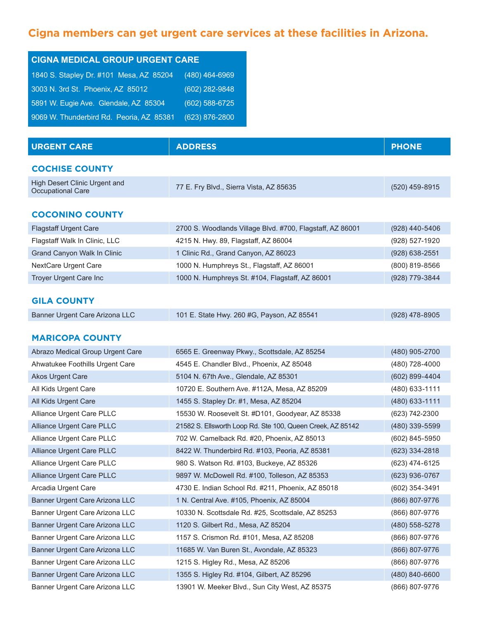| <b>CIGNA MEDICAL GROUP URGENT CARE</b>   |                  |  |  |
|------------------------------------------|------------------|--|--|
| 1840 S. Stapley Dr. #101 Mesa, AZ 85204  | (480) 464-6969   |  |  |
| 3003 N. 3rd St. Phoenix, AZ 85012        | $(602)$ 282-9848 |  |  |
| 5891 W. Eugie Ave. Glendale, AZ 85304    | (602) 588-6725   |  |  |
| 9069 W. Thunderbird Rd. Peoria, AZ 85381 | (623) 876-2800   |  |  |

| <b>URGENT CARE</b>                                 | <b>ADDRESS</b>                                             | <b>PHONE</b>     |
|----------------------------------------------------|------------------------------------------------------------|------------------|
| <b>COCHISE COUNTY</b>                              |                                                            |                  |
| High Desert Clinic Urgent and<br>Occupational Care | 77 E. Fry Blvd., Sierra Vista, AZ 85635                    | (520) 459-8915   |
| <b>COCONINO COUNTY</b>                             |                                                            |                  |
| <b>Flagstaff Urgent Care</b>                       | 2700 S. Woodlands Village Blvd. #700, Flagstaff, AZ 86001  | (928) 440-5406   |
| Flagstaff Walk In Clinic, LLC                      | 4215 N. Hwy. 89, Flagstaff, AZ 86004                       | (928) 527-1920   |
| Grand Canyon Walk In Clinic                        | 1 Clinic Rd., Grand Canyon, AZ 86023                       | (928) 638-2551   |
| NextCare Urgent Care                               | 1000 N. Humphreys St., Flagstaff, AZ 86001                 | (800) 819-8566   |
| Troyer Urgent Care Inc                             | 1000 N. Humphreys St. #104, Flagstaff, AZ 86001            | (928) 779-3844   |
| <b>GILA COUNTY</b>                                 |                                                            |                  |
| Banner Urgent Care Arizona LLC                     | 101 E. State Hwy. 260 #G, Payson, AZ 85541                 | $(928)$ 478-8905 |
|                                                    |                                                            |                  |
| <b>MARICOPA COUNTY</b>                             |                                                            |                  |
| Abrazo Medical Group Urgent Care                   | 6565 E. Greenway Pkwy., Scottsdale, AZ 85254               | (480) 905-2700   |
| Ahwatukee Foothills Urgent Care                    | 4545 E. Chandler Blvd., Phoenix, AZ 85048                  | (480) 728-4000   |
| Akos Urgent Care                                   | 5104 N. 67th Ave., Glendale, AZ 85301                      | (602) 899-4404   |
| All Kids Urgent Care                               | 10720 E. Southern Ave. #112A, Mesa, AZ 85209               | (480) 633-1111   |
| All Kids Urgent Care                               | 1455 S. Stapley Dr. #1, Mesa, AZ 85204                     | (480) 633-1111   |
| Alliance Urgent Care PLLC                          | 15530 W. Roosevelt St. #D101, Goodyear, AZ 85338           | (623) 742-2300   |
| Alliance Urgent Care PLLC                          | 21582 S. Ellsworth Loop Rd. Ste 100, Queen Creek, AZ 85142 | (480) 339-5599   |
| Alliance Urgent Care PLLC                          | 702 W. Camelback Rd. #20, Phoenix, AZ 85013                | (602) 845-5950   |
| Alliance Urgent Care PLLC                          | 8422 W. Thunderbird Rd. #103, Peoria, AZ 85381             | (623) 334-2818   |
| Alliance Urgent Care PLLC                          | 980 S. Watson Rd. #103, Buckeye, AZ 85326                  | (623) 474-6125   |
| Alliance Urgent Care PLLC                          | 9897 W. McDowell Rd. #100, Tolleson, AZ 85353              | (623) 936-0767   |
| Arcadia Urgent Care                                | 4730 E. Indian School Rd. #211, Phoenix, AZ 85018          | (602) 354-3491   |
| Banner Urgent Care Arizona LLC                     | 1 N. Central Ave. #105, Phoenix, AZ 85004                  | (866) 807-9776   |
| Banner Urgent Care Arizona LLC                     | 10330 N. Scottsdale Rd. #25, Scottsdale, AZ 85253          | (866) 807-9776   |
| Banner Urgent Care Arizona LLC                     | 1120 S. Gilbert Rd., Mesa, AZ 85204                        | (480) 558-5278   |
| Banner Urgent Care Arizona LLC                     | 1157 S. Crismon Rd. #101, Mesa, AZ 85208                   | (866) 807-9776   |
| Banner Urgent Care Arizona LLC                     | 11685 W. Van Buren St., Avondale, AZ 85323                 | (866) 807-9776   |
| Banner Urgent Care Arizona LLC                     | 1215 S. Higley Rd., Mesa, AZ 85206                         | (866) 807-9776   |
| Banner Urgent Care Arizona LLC                     | 1355 S. Higley Rd. #104, Gilbert, AZ 85296                 | (480) 840-6600   |
| Banner Urgent Care Arizona LLC                     | 13901 W. Meeker Blvd., Sun City West, AZ 85375             | (866) 807-9776   |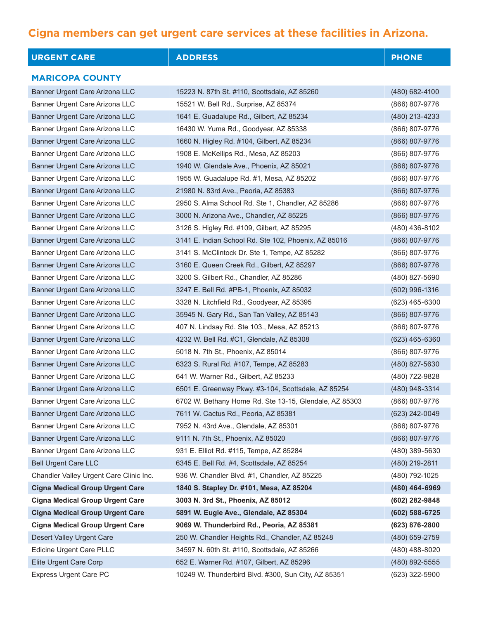| <b>URGENT CARE</b>                      | <b>ADDRESS</b>                                         | <b>PHONE</b>     |
|-----------------------------------------|--------------------------------------------------------|------------------|
| <b>MARICOPA COUNTY</b>                  |                                                        |                  |
| Banner Urgent Care Arizona LLC          | 15223 N. 87th St. #110, Scottsdale, AZ 85260           | (480) 682-4100   |
| Banner Urgent Care Arizona LLC          | 15521 W. Bell Rd., Surprise, AZ 85374                  | (866) 807-9776   |
| Banner Urgent Care Arizona LLC          | 1641 E. Guadalupe Rd., Gilbert, AZ 85234               | (480) 213-4233   |
| Banner Urgent Care Arizona LLC          | 16430 W. Yuma Rd., Goodyear, AZ 85338                  | (866) 807-9776   |
| Banner Urgent Care Arizona LLC          | 1660 N. Higley Rd. #104, Gilbert, AZ 85234             | (866) 807-9776   |
| Banner Urgent Care Arizona LLC          | 1908 E. McKellips Rd., Mesa, AZ 85203                  | (866) 807-9776   |
| Banner Urgent Care Arizona LLC          | 1940 W. Glendale Ave., Phoenix, AZ 85021               | (866) 807-9776   |
| Banner Urgent Care Arizona LLC          | 1955 W. Guadalupe Rd. #1, Mesa, AZ 85202               | (866) 807-9776   |
| Banner Urgent Care Arizona LLC          | 21980 N. 83rd Ave., Peoria, AZ 85383                   | (866) 807-9776   |
| Banner Urgent Care Arizona LLC          | 2950 S. Alma School Rd. Ste 1, Chandler, AZ 85286      | (866) 807-9776   |
| Banner Urgent Care Arizona LLC          | 3000 N. Arizona Ave., Chandler, AZ 85225               | (866) 807-9776   |
| Banner Urgent Care Arizona LLC          | 3126 S. Higley Rd. #109, Gilbert, AZ 85295             | (480) 436-8102   |
| Banner Urgent Care Arizona LLC          | 3141 E. Indian School Rd. Ste 102, Phoenix, AZ 85016   | (866) 807-9776   |
| Banner Urgent Care Arizona LLC          | 3141 S. McClintock Dr. Ste 1, Tempe, AZ 85282          | (866) 807-9776   |
| Banner Urgent Care Arizona LLC          | 3160 E. Queen Creek Rd., Gilbert, AZ 85297             | (866) 807-9776   |
| Banner Urgent Care Arizona LLC          | 3200 S. Gilbert Rd., Chandler, AZ 85286                | (480) 827-5690   |
| Banner Urgent Care Arizona LLC          | 3247 E. Bell Rd. #PB-1, Phoenix, AZ 85032              | (602) 996-1316   |
| Banner Urgent Care Arizona LLC          | 3328 N. Litchfield Rd., Goodyear, AZ 85395             | (623) 465-6300   |
| Banner Urgent Care Arizona LLC          | 35945 N. Gary Rd., San Tan Valley, AZ 85143            | (866) 807-9776   |
| Banner Urgent Care Arizona LLC          | 407 N. Lindsay Rd. Ste 103., Mesa, AZ 85213            | (866) 807-9776   |
| Banner Urgent Care Arizona LLC          | 4232 W. Bell Rd. #C1, Glendale, AZ 85308               | $(623)$ 465-6360 |
| Banner Urgent Care Arizona LLC          | 5018 N. 7th St., Phoenix, AZ 85014                     | (866) 807-9776   |
| Banner Urgent Care Arizona LLC          | 6323 S. Rural Rd. #107, Tempe, AZ 85283                | (480) 827-5630   |
| Banner Urgent Care Arizona LLC          | 641 W. Warner Rd., Gilbert, AZ 85233                   | (480) 722-9828   |
| Banner Urgent Care Arizona LLC          | 6501 E. Greenway Pkwy. #3-104, Scottsdale, AZ 85254    | (480) 948-3314   |
| Banner Urgent Care Arizona LLC          | 6702 W. Bethany Home Rd. Ste 13-15, Glendale, AZ 85303 | (866) 807-9776   |
| Banner Urgent Care Arizona LLC          | 7611 W. Cactus Rd., Peoria, AZ 85381                   | (623) 242-0049   |
| Banner Urgent Care Arizona LLC          | 7952 N. 43rd Ave., Glendale, AZ 85301                  | (866) 807-9776   |
| Banner Urgent Care Arizona LLC          | 9111 N. 7th St., Phoenix, AZ 85020                     | (866) 807-9776   |
| Banner Urgent Care Arizona LLC          | 931 E. Elliot Rd. #115, Tempe, AZ 85284                | (480) 389-5630   |
| <b>Bell Urgent Care LLC</b>             | 6345 E. Bell Rd. #4, Scottsdale, AZ 85254              | (480) 219-2811   |
| Chandler Valley Urgent Care Clinic Inc. | 936 W. Chandler Blvd. #1, Chandler, AZ 85225           | (480) 792-1025   |
| <b>Cigna Medical Group Urgent Care</b>  | 1840 S. Stapley Dr. #101, Mesa, AZ 85204               | (480) 464-6969   |
| <b>Cigna Medical Group Urgent Care</b>  | 3003 N. 3rd St., Phoenix, AZ 85012                     | (602) 282-9848   |
| <b>Cigna Medical Group Urgent Care</b>  | 5891 W. Eugie Ave., Glendale, AZ 85304                 | (602) 588-6725   |
| <b>Cigna Medical Group Urgent Care</b>  | 9069 W. Thunderbird Rd., Peoria, AZ 85381              | (623) 876-2800   |
| Desert Valley Urgent Care               | 250 W. Chandler Heights Rd., Chandler, AZ 85248        | (480) 659-2759   |
| Edicine Urgent Care PLLC                | 34597 N. 60th St. #110, Scottsdale, AZ 85266           | (480) 488-8020   |
| Elite Urgent Care Corp                  | 652 E. Warner Rd. #107, Gilbert, AZ 85296              | (480) 892-5555   |
| <b>Express Urgent Care PC</b>           | 10249 W. Thunderbird Blvd. #300, Sun City, AZ 85351    | (623) 322-5900   |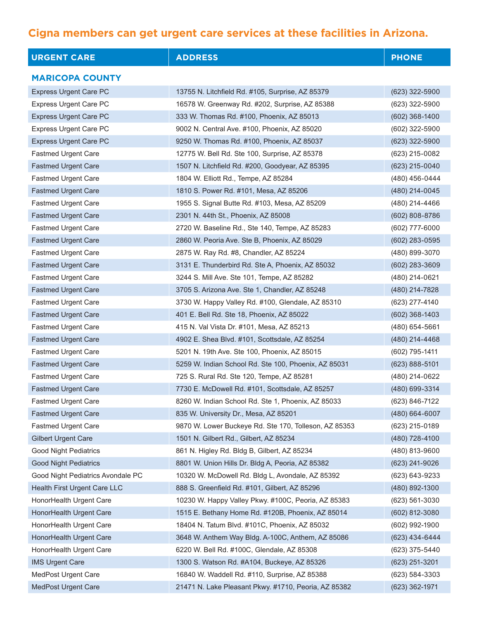| <b>URGENT CARE</b>                | <b>ADDRESS</b>                                        | <b>PHONE</b>       |
|-----------------------------------|-------------------------------------------------------|--------------------|
| <b>MARICOPA COUNTY</b>            |                                                       |                    |
| <b>Express Urgent Care PC</b>     | 13755 N. Litchfield Rd. #105, Surprise, AZ 85379      | $(623)$ 322-5900   |
| <b>Express Urgent Care PC</b>     | 16578 W. Greenway Rd. #202, Surprise, AZ 85388        | (623) 322-5900     |
| <b>Express Urgent Care PC</b>     | 333 W. Thomas Rd. #100, Phoenix, AZ 85013             | $(602)$ 368-1400   |
| <b>Express Urgent Care PC</b>     | 9002 N. Central Ave. #100, Phoenix, AZ 85020          | (602) 322-5900     |
| <b>Express Urgent Care PC</b>     | 9250 W. Thomas Rd. #100, Phoenix, AZ 85037            | (623) 322-5900     |
| <b>Fastmed Urgent Care</b>        | 12775 W. Bell Rd. Ste 100, Surprise, AZ 85378         | (623) 215-0082     |
| <b>Fastmed Urgent Care</b>        | 1507 N. Litchfield Rd. #200, Goodyear, AZ 85395       | $(623)$ 215-0040   |
| <b>Fastmed Urgent Care</b>        | 1804 W. Elliott Rd., Tempe, AZ 85284                  | (480) 456-0444     |
| <b>Fastmed Urgent Care</b>        | 1810 S. Power Rd. #101, Mesa, AZ 85206                | (480) 214-0045     |
| <b>Fastmed Urgent Care</b>        | 1955 S. Signal Butte Rd. #103, Mesa, AZ 85209         | (480) 214-4466     |
| <b>Fastmed Urgent Care</b>        | 2301 N. 44th St., Phoenix, AZ 85008                   | $(602) 808 - 8786$ |
| <b>Fastmed Urgent Care</b>        | 2720 W. Baseline Rd., Ste 140, Tempe, AZ 85283        | (602) 777-6000     |
| <b>Fastmed Urgent Care</b>        | 2860 W. Peoria Ave. Ste B, Phoenix, AZ 85029          | $(602)$ 283-0595   |
| <b>Fastmed Urgent Care</b>        | 2875 W. Ray Rd. #8, Chandler, AZ 85224                | (480) 899-3070     |
| <b>Fastmed Urgent Care</b>        | 3131 E. Thunderbird Rd. Ste A, Phoenix, AZ 85032      | $(602)$ 283-3609   |
| <b>Fastmed Urgent Care</b>        | 3244 S. Mill Ave. Ste 101, Tempe, AZ 85282            | (480) 214-0621     |
| <b>Fastmed Urgent Care</b>        | 3705 S. Arizona Ave. Ste 1, Chandler, AZ 85248        | (480) 214-7828     |
| <b>Fastmed Urgent Care</b>        | 3730 W. Happy Valley Rd. #100, Glendale, AZ 85310     | (623) 277-4140     |
| <b>Fastmed Urgent Care</b>        | 401 E. Bell Rd. Ste 18, Phoenix, AZ 85022             | $(602)$ 368-1403   |
| <b>Fastmed Urgent Care</b>        | 415 N. Val Vista Dr. #101, Mesa, AZ 85213             | (480) 654-5661     |
| <b>Fastmed Urgent Care</b>        | 4902 E. Shea Blvd. #101, Scottsdale, AZ 85254         | (480) 214-4468     |
| <b>Fastmed Urgent Care</b>        | 5201 N. 19th Ave. Ste 100, Phoenix, AZ 85015          | (602) 795-1411     |
| <b>Fastmed Urgent Care</b>        | 5259 W. Indian School Rd. Ste 100, Phoenix, AZ 85031  | $(623) 888 - 5101$ |
| <b>Fastmed Urgent Care</b>        | 725 S. Rural Rd. Ste 120, Tempe, AZ 85281             | (480) 214-0622     |
| <b>Fastmed Urgent Care</b>        | 7730 E. McDowell Rd. #101, Scottsdale, AZ 85257       | (480) 699-3314     |
| Fastmed Urgent Care               | 8260 W. Indian School Rd. Ste 1, Phoenix, AZ 85033    | (623) 846-7122     |
| <b>Fastmed Urgent Care</b>        | 835 W. University Dr., Mesa, AZ 85201                 | (480) 664-6007     |
| Fastmed Urgent Care               | 9870 W. Lower Buckeye Rd. Ste 170, Tolleson, AZ 85353 | (623) 215-0189     |
| <b>Gilbert Urgent Care</b>        | 1501 N. Gilbert Rd., Gilbert, AZ 85234                | (480) 728-4100     |
| <b>Good Night Pediatrics</b>      | 861 N. Higley Rd. Bldg B, Gilbert, AZ 85234           | (480) 813-9600     |
| <b>Good Night Pediatrics</b>      | 8801 W. Union Hills Dr. Bldg A, Peoria, AZ 85382      | (623) 241-9026     |
| Good Night Pediatrics Avondale PC | 10320 W. McDowell Rd. Bldg L, Avondale, AZ 85392      | (623) 643-9233     |
| Health First Urgent Care LLC      | 888 S. Greenfield Rd. #101, Gilbert, AZ 85296         | (480) 892-1300     |
| HonorHealth Urgent Care           | 10230 W. Happy Valley Pkwy. #100C, Peoria, AZ 85383   | $(623) 561 - 3030$ |
| HonorHealth Urgent Care           | 1515 E. Bethany Home Rd. #120B, Phoenix, AZ 85014     | (602) 812-3080     |
| HonorHealth Urgent Care           | 18404 N. Tatum Blvd. #101C, Phoenix, AZ 85032         | (602) 992-1900     |
| HonorHealth Urgent Care           | 3648 W. Anthem Way Bldg. A-100C, Anthem, AZ 85086     | (623) 434-6444     |
| HonorHealth Urgent Care           | 6220 W. Bell Rd. #100C, Glendale, AZ 85308            | (623) 375-5440     |
| <b>IMS Urgent Care</b>            | 1300 S. Watson Rd. #A104, Buckeye, AZ 85326           | (623) 251-3201     |
| MedPost Urgent Care               | 16840 W. Waddell Rd. #110, Surprise, AZ 85388         | (623) 584-3303     |
| MedPost Urgent Care               | 21471 N. Lake Pleasant Pkwy. #1710, Peoria, AZ 85382  | (623) 362-1971     |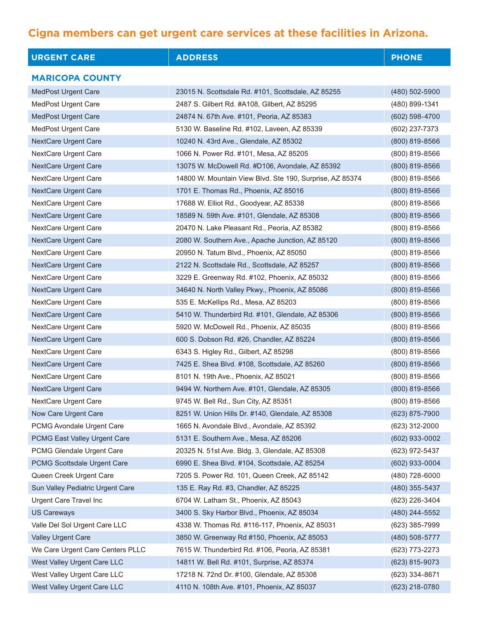| <b>URGENT CARE</b>               | <b>ADDRESS</b>                                           | <b>PHONE</b>     |
|----------------------------------|----------------------------------------------------------|------------------|
| <b>MARICOPA COUNTY</b>           |                                                          |                  |
| <b>MedPost Urgent Care</b>       | 23015 N. Scottsdale Rd. #101, Scottsdale, AZ 85255       | $(480)$ 502-5900 |
| MedPost Urgent Care              | 2487 S. Gilbert Rd. #A108, Gilbert, AZ 85295             | (480) 899-1341   |
| MedPost Urgent Care              | 24874 N. 67th Ave. #101, Peoria, AZ 85383                | $(602)$ 598-4700 |
| <b>MedPost Urgent Care</b>       | 5130 W. Baseline Rd. #102, Laveen, AZ 85339              | (602) 237-7373   |
| NextCare Urgent Care             | 10240 N. 43rd Ave., Glendale, AZ 85302                   | (800) 819-8566   |
| <b>NextCare Urgent Care</b>      | 1066 N. Power Rd. #101, Mesa, AZ 85205                   | (800) 819-8566   |
| NextCare Urgent Care             | 13075 W. McDowell Rd. #D106, Avondale, AZ 85392          | $(800)$ 819-8566 |
| NextCare Urgent Care             | 14800 W. Mountain View Blvd. Ste 190, Surprise, AZ 85374 | (800) 819-8566   |
| NextCare Urgent Care             | 1701 E. Thomas Rd., Phoenix, AZ 85016                    | (800) 819-8566   |
| <b>NextCare Urgent Care</b>      | 17688 W. Elliot Rd., Goodyear, AZ 85338                  | (800) 819-8566   |
| NextCare Urgent Care             | 18589 N. 59th Ave. #101, Glendale, AZ 85308              | (800) 819-8566   |
| NextCare Urgent Care             | 20470 N. Lake Pleasant Rd., Peoria, AZ 85382             | (800) 819-8566   |
| NextCare Urgent Care             | 2080 W. Southern Ave., Apache Junction, AZ 85120         | (800) 819-8566   |
| NextCare Urgent Care             | 20950 N. Tatum Blvd., Phoenix, AZ 85050                  | (800) 819-8566   |
| <b>NextCare Urgent Care</b>      | 2122 N. Scottsdale Rd., Scottsdale, AZ 85257             | (800) 819-8566   |
| <b>NextCare Urgent Care</b>      | 3229 E. Greenway Rd. #102, Phoenix, AZ 85032             | (800) 819-8566   |
| NextCare Urgent Care             | 34640 N. North Valley Pkwy., Phoenix, AZ 85086           | (800) 819-8566   |
| NextCare Urgent Care             | 535 E. McKellips Rd., Mesa, AZ 85203                     | (800) 819-8566   |
| NextCare Urgent Care             | 5410 W. Thunderbird Rd. #101, Glendale, AZ 85306         | (800) 819-8566   |
| NextCare Urgent Care             | 5920 W. McDowell Rd., Phoenix, AZ 85035                  | (800) 819-8566   |
| <b>NextCare Urgent Care</b>      | 600 S. Dobson Rd. #26, Chandler, AZ 85224                | $(800)$ 819-8566 |
| NextCare Urgent Care             | 6343 S. Higley Rd., Gilbert, AZ 85298                    | (800) 819-8566   |
| NextCare Urgent Care             | 7425 E. Shea Blvd. #108, Scottsdale, AZ 85260            | (800) 819-8566   |
| NextCare Urgent Care             | 8101 N. 19th Ave., Phoenix, AZ 85021                     | (800) 819-8566   |
| NextCare Urgent Care             | 9494 W. Northern Ave. #101, Glendale, AZ 85305           | (800) 819-8566   |
| NextCare Urgent Care             | 9745 W. Bell Rd., Sun City, AZ 85351                     | (800) 819-8566   |
| Now Care Urgent Care             | 8251 W. Union Hills Dr. #140, Glendale, AZ 85308         | (623) 875-7900   |
| PCMG Avondale Urgent Care        | 1665 N. Avondale Blvd., Avondale, AZ 85392               | (623) 312-2000   |
| PCMG East Valley Urgent Care     | 5131 E. Southern Ave., Mesa, AZ 85206                    | $(602)$ 933-0002 |
| PCMG Glendale Urgent Care        | 20325 N. 51st Ave. Bldg. 3, Glendale, AZ 85308           | (623) 972-5437   |
| PCMG Scottsdale Urgent Care      | 6990 E. Shea Blvd. #104, Scottsdale, AZ 85254            | (602) 933-0004   |
| Queen Creek Urgent Care          | 7205 S. Power Rd. 101, Queen Creek, AZ 85142             | (480) 728-6000   |
| Sun Valley Pediatric Urgent Care | 135 E. Ray Rd. #3, Chandler, AZ 85225                    | (480) 355-5437   |
| Urgent Care Travel Inc           | 6704 W. Latham St., Phoenix, AZ 85043                    | (623) 226-3404   |
| <b>US Careways</b>               | 3400 S. Sky Harbor Blvd., Phoenix, AZ 85034              | (480) 244-5552   |
| Valle Del Sol Urgent Care LLC    | 4338 W. Thomas Rd. #116-117, Phoenix, AZ 85031           | (623) 385-7999   |
| Valley Urgent Care               | 3850 W. Greenway Rd #150, Phoenix, AZ 85053              | (480) 508-5777   |
| We Care Urgent Care Centers PLLC | 7615 W. Thunderbird Rd. #106, Peoria, AZ 85381           | (623) 773-2273   |
| West Valley Urgent Care LLC      | 14811 W. Bell Rd. #101, Surprise, AZ 85374               | (623) 815-9073   |
| West Valley Urgent Care LLC      | 17218 N. 72nd Dr. #100, Glendale, AZ 85308               | (623) 334-8671   |
| West Valley Urgent Care LLC      | 4110 N. 108th Ave. #101, Phoenix, AZ 85037               | (623) 218-0780   |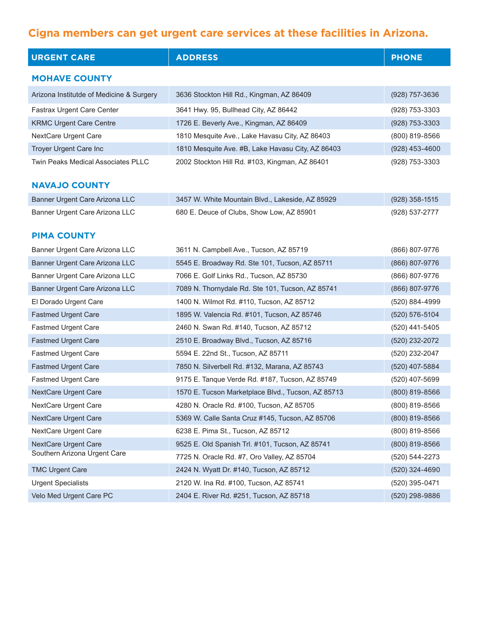| <b>URGENT CARE</b>                       | <b>ADDRESS</b>                                     | <b>PHONE</b>     |
|------------------------------------------|----------------------------------------------------|------------------|
| <b>MOHAVE COUNTY</b>                     |                                                    |                  |
| Arizona Institutde of Medicine & Surgery | 3636 Stockton Hill Rd., Kingman, AZ 86409          | (928) 757-3636   |
| Fastrax Urgent Care Center               | 3641 Hwy. 95, Bullhead City, AZ 86442              | (928) 753-3303   |
| <b>KRMC Urgent Care Centre</b>           | 1726 E. Beverly Ave., Kingman, AZ 86409            | (928) 753-3303   |
| <b>NextCare Urgent Care</b>              | 1810 Mesquite Ave., Lake Havasu City, AZ 86403     | (800) 819-8566   |
| Troyer Urgent Care Inc                   | 1810 Mesquite Ave. #B, Lake Havasu City, AZ 86403  | $(928)$ 453-4600 |
| Twin Peaks Medical Associates PLLC       | 2002 Stockton Hill Rd. #103, Kingman, AZ 86401     | (928) 753-3303   |
|                                          |                                                    |                  |
| <b>NAVAJO COUNTY</b>                     |                                                    |                  |
| Banner Urgent Care Arizona LLC           | 3457 W. White Mountain Blvd., Lakeside, AZ 85929   | (928) 358-1515   |
| Banner Urgent Care Arizona LLC           | 680 E. Deuce of Clubs, Show Low, AZ 85901          | (928) 537-2777   |
| <b>PIMA COUNTY</b>                       |                                                    |                  |
| Banner Urgent Care Arizona LLC           | 3611 N. Campbell Ave., Tucson, AZ 85719            | (866) 807-9776   |
| Banner Urgent Care Arizona LLC           | 5545 E. Broadway Rd. Ste 101, Tucson, AZ 85711     | (866) 807-9776   |
| Banner Urgent Care Arizona LLC           | 7066 E. Golf Links Rd., Tucson, AZ 85730           | (866) 807-9776   |
| Banner Urgent Care Arizona LLC           | 7089 N. Thornydale Rd. Ste 101, Tucson, AZ 85741   | (866) 807-9776   |
| El Dorado Urgent Care                    | 1400 N. Wilmot Rd. #110, Tucson, AZ 85712          | (520) 884-4999   |
| <b>Fastmed Urgent Care</b>               | 1895 W. Valencia Rd. #101, Tucson, AZ 85746        | (520) 576-5104   |
| <b>Fastmed Urgent Care</b>               | 2460 N. Swan Rd. #140, Tucson, AZ 85712            | (520) 441-5405   |
| <b>Fastmed Urgent Care</b>               | 2510 E. Broadway Blvd., Tucson, AZ 85716           | (520) 232-2072   |
| Fastmed Urgent Care                      | 5594 E. 22nd St., Tucson, AZ 85711                 | (520) 232-2047   |
| <b>Fastmed Urgent Care</b>               | 7850 N. Silverbell Rd. #132, Marana, AZ 85743      | (520) 407-5884   |
| Fastmed Urgent Care                      | 9175 E. Tanque Verde Rd. #187, Tucson, AZ 85749    | (520) 407-5699   |
| NextCare Urgent Care                     | 1570 E. Tucson Marketplace Blvd., Tucson, AZ 85713 | (800) 819-8566   |
| NextCare Urgent Care                     | 4280 N. Oracle Rd. #100, Tucson, AZ 85705          | (800) 819-8566   |
| NextCare Urgent Care                     | 5369 W. Calle Santa Cruz #145, Tucson, AZ 85706    | (800) 819-8566   |
| NextCare Urgent Care                     | 6238 E. Pima St., Tucson, AZ 85712                 | (800) 819-8566   |
| <b>NextCare Urgent Care</b>              | 9525 E. Old Spanish Trl. #101, Tucson, AZ 85741    | (800) 819-8566   |
| Southern Arizona Urgent Care             | 7725 N. Oracle Rd. #7, Oro Valley, AZ 85704        | (520) 544-2273   |
| <b>TMC Urgent Care</b>                   | 2424 N. Wyatt Dr. #140, Tucson, AZ 85712           | (520) 324-4690   |
| <b>Urgent Specialists</b>                | 2120 W. Ina Rd. #100, Tucson, AZ 85741             | (520) 395-0471   |
| Velo Med Urgent Care PC                  | 2404 E. River Rd. #251, Tucson, AZ 85718           | (520) 298-9886   |